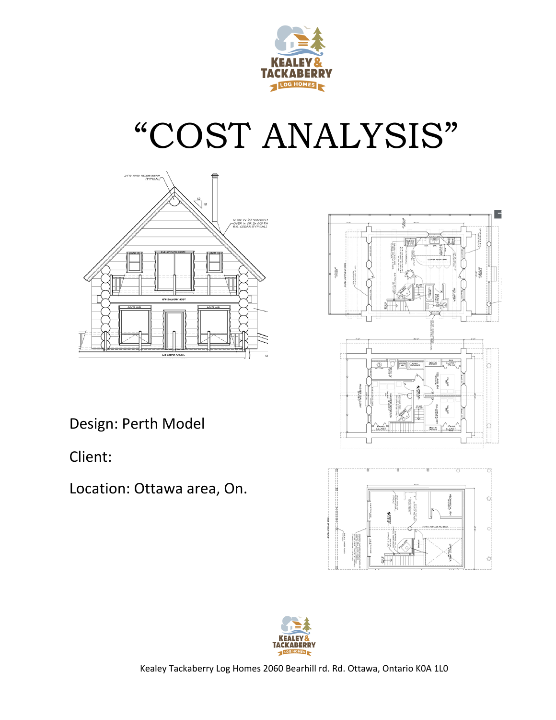

# "COST ANALYSIS"





o,

Design: Perth Model

 Client: 

Location: Ottawa area, On.



Kealey Tackaberry Log Homes 2060 Bearhill rd. Rd. Ottawa, Ontario K0A 1L0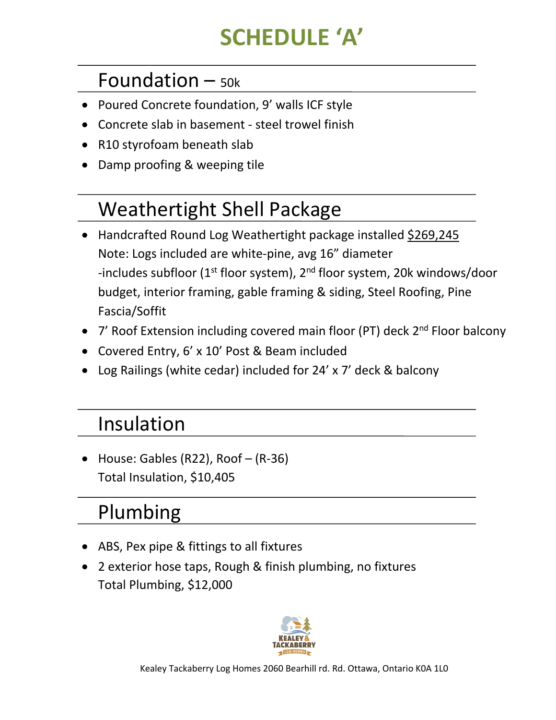# **SCHEDULE 'A'**

#### Foundation  $-$  50k

- Poured Concrete foundation, 9' walls ICF style
- Concrete slab in basement steel trowel finish
- R10 styrofoam beneath slab
- Damp proofing & weeping tile

## Weathertight Shell Package

- Handcrafted Round Log Weathertight package installed \$269,245 Note: Logs included are white-pine, avg 16" diameter -includes subfloor ( $1^{st}$  floor system),  $2^{nd}$  floor system, 20k windows/door budget, interior framing, gable framing & siding, Steel Roofing, Pine Fascia/Soffit
- 7' Roof Extension including covered main floor (PT) deck  $2^{nd}$  Floor balcony
- Covered Entry, 6' x 10' Post & Beam included
- Log Railings (white cedar) included for  $24' \times 7'$  deck & balcony

#### Insulation

• House: Gables (R22), Roof  $-$  (R-36) Total Insulation, \$10,405

#### Plumbing

- ABS, Pex pipe & fittings to all fixtures
- 2 exterior hose taps, Rough & finish plumbing, no fixtures Total Plumbing, \$12,000

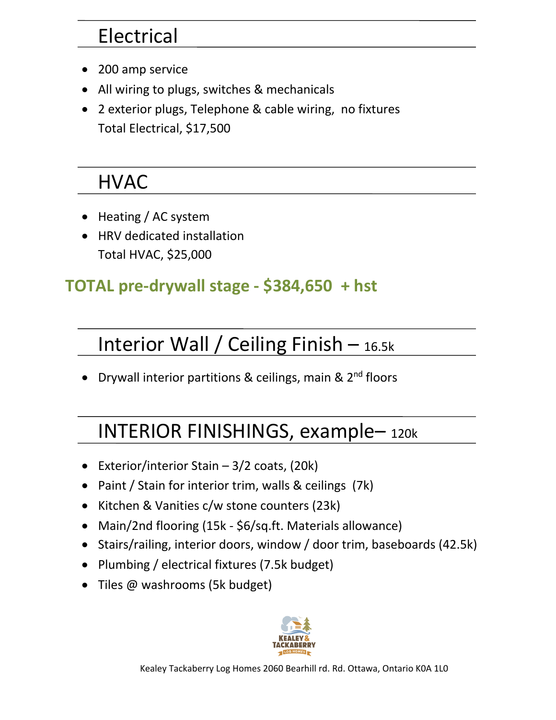#### Electrical

- 200 amp service
- All wiring to plugs, switches & mechanicals
- 2 exterior plugs, Telephone & cable wiring, no fixtures Total Electrical, \$17,500

#### HVAC

- Heating / AC system
- HRV dedicated installation Total HVAC, \$25,000

#### TOTAL pre-drywall stage - \$384,650 + hst

### Interior Wall / Ceiling Finish  $-$  16.5k

• Drywall interior partitions & ceilings, main &  $2<sup>nd</sup>$  floors

## INTERIOR FINISHINGS, example– 120k

- Exterior/interior Stain  $-3/2$  coats, (20k)
- Paint / Stain for interior trim, walls & ceilings (7k)
- Kitchen & Vanities c/w stone counters (23k)
- Main/2nd flooring (15k \$6/sq.ft. Materials allowance)
- Stairs/railing, interior doors, window / door trim, baseboards (42.5k)
- Plumbing / electrical fixtures (7.5k budget)
- Tiles  $@$  washrooms (5k budget)